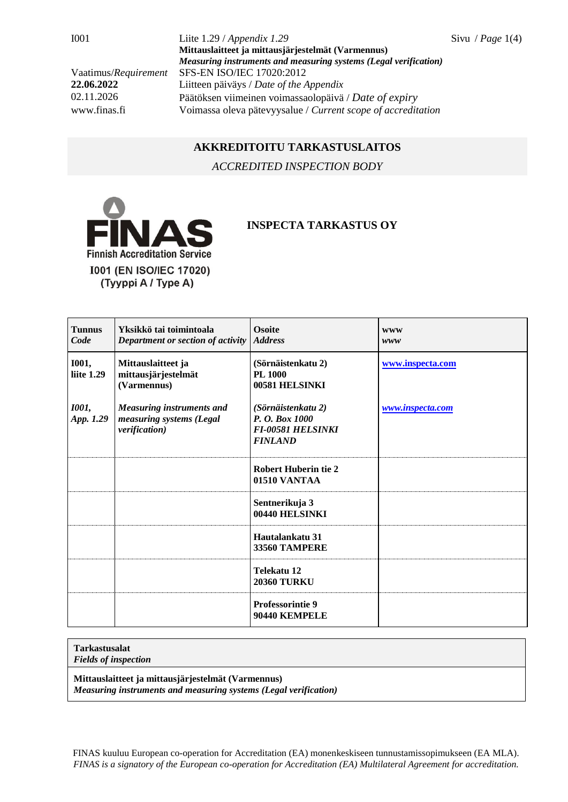I001 Liite 1.29 / *Appendix 1.29* Sivu / *Page* 1(4) **Mittauslaitteet ja mittausjärjestelmät (Varmennus)** *Measuring instruments and measuring systems (Legal verification)* Vaatimus/*Requirement* SFS-EN ISO/IEC 17020:2012 **22.06.2022** Liitteen päiväys / *Date of the Appendix* 02.11.2026 Päätöksen viimeinen voimassaolopäivä / *Date of expiry* www.finas.fi Voimassa oleva pätevyysalue / *Current scope of accreditation*

## **AKKREDITOITU TARKASTUSLAITOS**

*ACCREDITED INSPECTION BODY*



## **INSPECTA TARKASTUS OY**

| <b>Tunnus</b><br>Code      | Yksikkö tai toimintoala<br>Department or section of activity                  | <b>Osoite</b><br><b>Address</b>                                                    | <b>WWW</b><br>www |
|----------------------------|-------------------------------------------------------------------------------|------------------------------------------------------------------------------------|-------------------|
| <b>I001,</b><br>liite 1.29 | Mittauslaitteet ja<br>mittausjärjestelmät<br>(Varmennus)                      | (Sörnäistenkatu 2)<br><b>PL 1000</b><br>00581 HELSINKI                             | www.inspecta.com  |
| <b>1001,</b><br>App. 1.29  | <b>Measuring instruments and</b><br>measuring systems (Legal<br>verification) | (Sörnäistenkatu 2)<br>P. O. Box 1000<br><b>FI-00581 HELSINKI</b><br><b>FINLAND</b> | www.inspecta.com  |
|                            |                                                                               | <b>Robert Huberin tie 2</b><br>01510 VANTAA                                        |                   |
|                            |                                                                               | Sentnerikuja 3<br>00440 HELSINKI                                                   |                   |
|                            |                                                                               | Hautalankatu 31<br><b>33560 TAMPERE</b>                                            |                   |
|                            |                                                                               | Telekatu 12<br><b>20360 TURKU</b>                                                  |                   |
|                            |                                                                               | <b>Professorintie 9</b><br>90440 KEMPELE                                           |                   |

## **Tarkastusalat**

*Fields of inspection*

**Mittauslaitteet ja mittausjärjestelmät (Varmennus)**

*Measuring instruments and measuring systems (Legal verification)*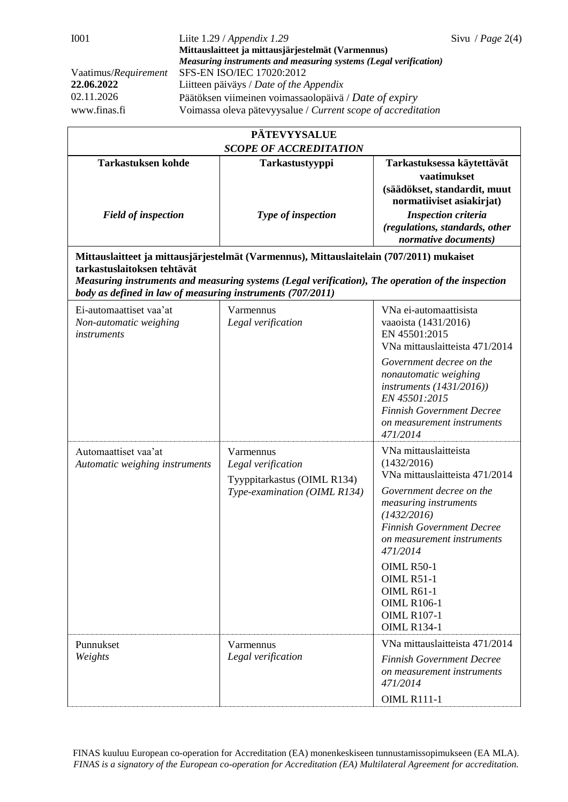| <b>PÄTEVYYSALUE</b>                                                                       |                                                                                                                                                                                               |                                                                                                                                                                                                                                                                                                                                                           |  |  |  |  |
|-------------------------------------------------------------------------------------------|-----------------------------------------------------------------------------------------------------------------------------------------------------------------------------------------------|-----------------------------------------------------------------------------------------------------------------------------------------------------------------------------------------------------------------------------------------------------------------------------------------------------------------------------------------------------------|--|--|--|--|
| <b>SCOPE OF ACCREDITATION</b>                                                             |                                                                                                                                                                                               |                                                                                                                                                                                                                                                                                                                                                           |  |  |  |  |
| <b>Tarkastuksen kohde</b>                                                                 | Tarkastustyyppi                                                                                                                                                                               | Tarkastuksessa käytettävät<br>vaatimukset<br>(säädökset, standardit, muut                                                                                                                                                                                                                                                                                 |  |  |  |  |
| <b>Field of inspection</b>                                                                | Type of inspection                                                                                                                                                                            | normatiiviset asiakirjat)<br><b>Inspection criteria</b><br>(regulations, standards, other<br>normative documents)                                                                                                                                                                                                                                         |  |  |  |  |
| tarkastuslaitoksen tehtävät<br>body as defined in law of measuring instruments (707/2011) | Mittauslaitteet ja mittausjärjestelmät (Varmennus), Mittauslaitelain (707/2011) mukaiset<br>Measuring instruments and measuring systems (Legal verification), The operation of the inspection |                                                                                                                                                                                                                                                                                                                                                           |  |  |  |  |
| Ei-automaattiset vaa'at<br>Non-automatic weighing<br><i>instruments</i>                   | Varmennus<br>Legal verification                                                                                                                                                               | VNa ei-automaattisista<br>vaaoista (1431/2016)<br>EN 45501:2015<br>VNa mittauslaitteista 471/2014<br>Government decree on the<br>nonautomatic weighing<br>instruments $(1431/2016)$<br>EN 45501:2015<br><b>Finnish Government Decree</b><br>on measurement instruments<br>471/2014                                                                        |  |  |  |  |
| Automaattiset vaa'at<br>Automatic weighing instruments                                    | Varmennus<br>Legal verification<br>Tyyppitarkastus (OIML R134)<br>Type-examination (OIML R134)                                                                                                | VNa mittauslaitteista<br>(1432/2016)<br>VNa mittauslaitteista 471/2014<br>Government decree on the<br>measuring instruments<br>(1432/2016)<br><b>Finnish Government Decree</b><br>on measurement instruments<br>471/2014<br><b>OIML R50-1</b><br><b>OIML R51-1</b><br><b>OIML R61-1</b><br><b>OIML R106-1</b><br><b>OIML R107-1</b><br><b>OIML R134-1</b> |  |  |  |  |
| Punnukset<br>Weights                                                                      | Varmennus<br>Legal verification                                                                                                                                                               | VNa mittauslaitteista 471/2014<br><b>Finnish Government Decree</b><br>on measurement instruments<br>471/2014<br><b>OIML R111-1</b>                                                                                                                                                                                                                        |  |  |  |  |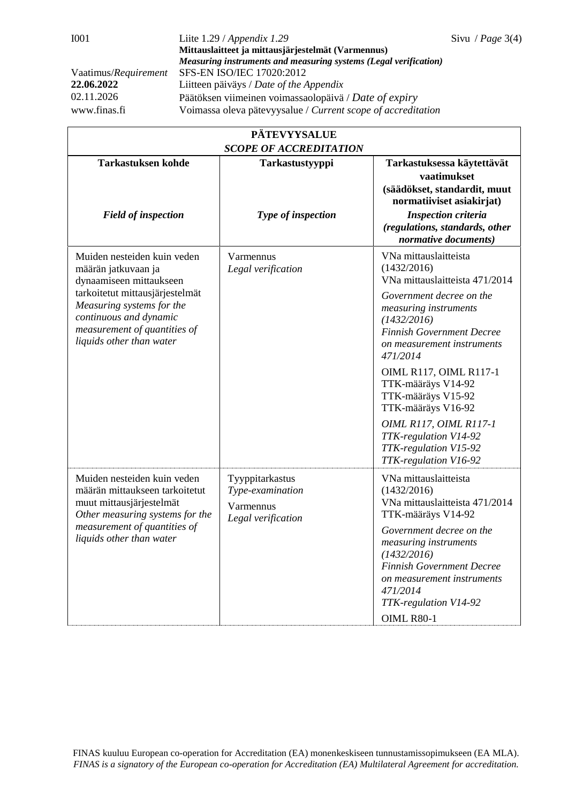| <b>PÄTEVYYSALUE</b>                                                                                                                                                                      |                                                                        |                                                                                                                                                                                              |  |  |  |
|------------------------------------------------------------------------------------------------------------------------------------------------------------------------------------------|------------------------------------------------------------------------|----------------------------------------------------------------------------------------------------------------------------------------------------------------------------------------------|--|--|--|
| <b>Tarkastuksen kohde</b>                                                                                                                                                                | <b>SCOPE OF ACCREDITATION</b><br>Tarkastustyyppi                       | Tarkastuksessa käytettävät                                                                                                                                                                   |  |  |  |
| <b>Field of inspection</b>                                                                                                                                                               | Type of inspection                                                     | vaatimukset<br>(säädökset, standardit, muut<br>normatiiviset asiakirjat)<br><b>Inspection criteria</b><br>(regulations, standards, other<br>normative documents)                             |  |  |  |
| Muiden nesteiden kuin veden<br>määrän jatkuvaan ja<br>dynaamiseen mittaukseen                                                                                                            | Varmennus<br>Legal verification                                        | VNa mittauslaitteista<br>(1432/2016)<br>VNa mittauslaitteista 471/2014                                                                                                                       |  |  |  |
| tarkoitetut mittausjärjestelmät<br>Measuring systems for the<br>continuous and dynamic<br>measurement of quantities of<br>liquids other than water                                       |                                                                        | Government decree on the<br>measuring instruments<br>(1432/2016)<br><b>Finnish Government Decree</b><br>on measurement instruments<br>471/2014                                               |  |  |  |
|                                                                                                                                                                                          |                                                                        | <b>OIML R117, OIML R117-1</b><br>TTK-määräys V14-92<br>TTK-määräys V15-92<br>TTK-määräys V16-92                                                                                              |  |  |  |
|                                                                                                                                                                                          |                                                                        | OIML R117, OIML R117-1<br>TTK-regulation V14-92<br>TTK-regulation V15-92<br>TTK-regulation V16-92                                                                                            |  |  |  |
| Muiden nesteiden kuin veden<br>määrän mittaukseen tarkoitetut<br>muut mittausjärjestelmät<br>Other measuring systems for the<br>measurement of quantities of<br>liquids other than water | Tyyppitarkastus<br>Type-examination<br>Varmennus<br>Legal verification | VNa mittauslaitteista<br>(1432/2016)<br>VNa mittauslaitteista 471/2014<br>TTK-määräys V14-92                                                                                                 |  |  |  |
|                                                                                                                                                                                          |                                                                        | Government decree on the<br>measuring instruments<br>(1432/2016)<br><b>Finnish Government Decree</b><br>on measurement instruments<br>471/2014<br>TTK-regulation V14-92<br><b>OIML R80-1</b> |  |  |  |